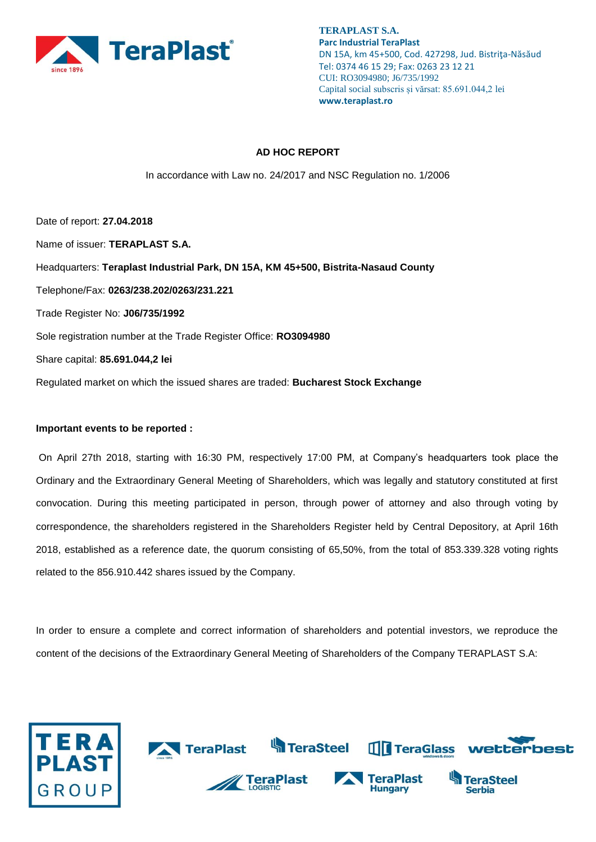

## **AD HOC REPORT**

In accordance with Law no. 24/2017 and NSC Regulation no. 1/2006

Date of report: **27.04.2018** Name of issuer: **TERAPLAST S.A.**  Headquarters: **Teraplast Industrial Park, DN 15A, KM 45+500, Bistrita-Nasaud County**  Telephone/Fax: **0263/238.202/0263/231.221**  Trade Register No: **J06/735/1992**  Sole registration number at the Trade Register Office: **RO3094980**  Share capital: **85.691.044,2 lei** Regulated market on which the issued shares are traded: **Bucharest Stock Exchange** 

## **Important events to be reported :**

On April 27th 2018, starting with 16:30 PM, respectively 17:00 PM, at Company's headquarters took place the Ordinary and the Extraordinary General Meeting of Shareholders, which was legally and statutory constituted at first convocation. During this meeting participated in person, through power of attorney and also through voting by correspondence, the shareholders registered in the Shareholders Register held by Central Depository, at April 16th 2018, established as a reference date, the quorum consisting of 65,50%, from the total of 853.339.328 voting rights related to the 856.910.442 shares issued by the Company.

In order to ensure a complete and correct information of shareholders and potential investors, we reproduce the content of the decisions of the Extraordinary General Meeting of Shareholders of the Company TERAPLAST S.A:

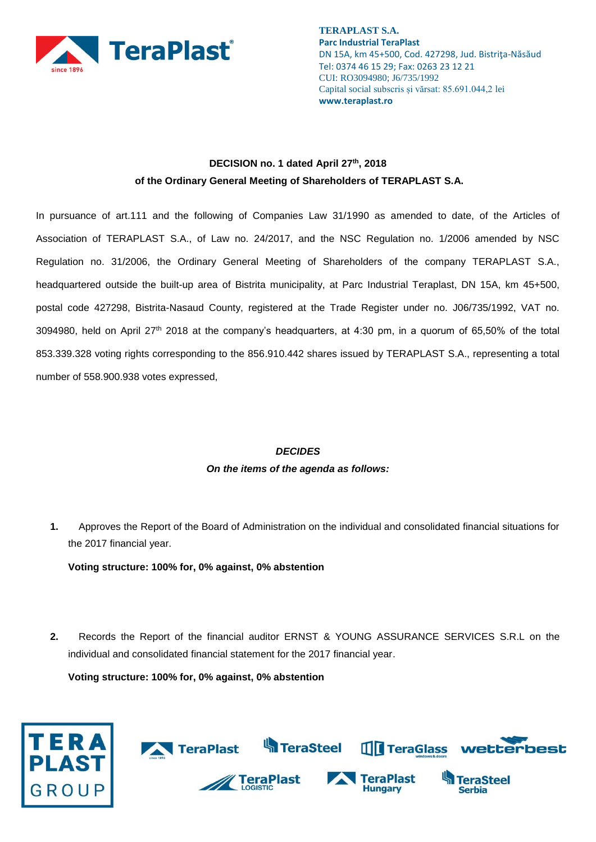

## **DECISION no. 1 dated April 27th, 2018 of the Ordinary General Meeting of Shareholders of TERAPLAST S.A.**

In pursuance of art.111 and the following of Companies Law 31/1990 as amended to date, of the Articles of Association of TERAPLAST S.A., of Law no. 24/2017, and the NSC Regulation no. 1/2006 amended by NSC Regulation no. 31/2006, the Ordinary General Meeting of Shareholders of the company TERAPLAST S.A., headquartered outside the built-up area of Bistrita municipality, at Parc Industrial Teraplast, DN 15A, km 45+500, postal code 427298, Bistrita-Nasaud County, registered at the Trade Register under no. J06/735/1992, VAT no. 3094980, held on April 27th 2018 at the company's headquarters, at 4:30 pm, in a quorum of 65,50% of the total 853.339.328 voting rights corresponding to the 856.910.442 shares issued by TERAPLAST S.A., representing a total number of 558.900.938 votes expressed,

# *DECIDES On the items of the agenda as follows:*

**1.** Approves the Report of the Board of Administration on the individual and consolidated financial situations for the 2017 financial year.

**Voting structure: 100% for, 0% against, 0% abstention**

**2.** Records the Report of the financial auditor ERNST & YOUNG ASSURANCE SERVICES S.R.L on the individual and consolidated financial statement for the 2017 financial year.

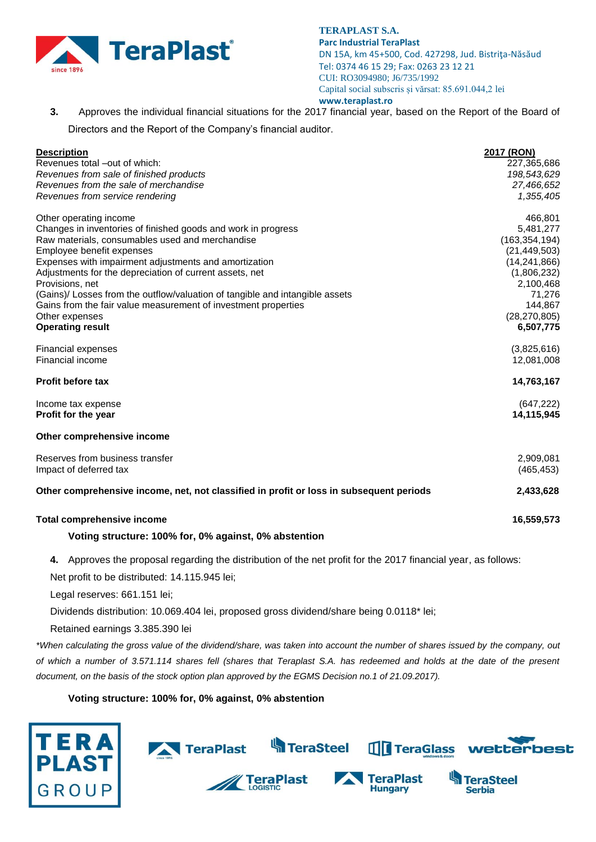

**3.** Approves the individual financial situations for the 2017 financial year, based on the Report of the Board of Directors and the Report of the Company's financial auditor.

| <b>Description</b>                                                                      | 2017 (RON)      |
|-----------------------------------------------------------------------------------------|-----------------|
| Revenues total –out of which:                                                           | 227,365,686     |
| Revenues from sale of finished products                                                 | 198,543,629     |
| Revenues from the sale of merchandise                                                   | 27,466,652      |
| Revenues from service rendering                                                         | 1,355,405       |
| Other operating income                                                                  | 466,801         |
| Changes in inventories of finished goods and work in progress                           | 5,481,277       |
| Raw materials, consumables used and merchandise                                         | (163, 354, 194) |
| Employee benefit expenses                                                               | (21, 449, 503)  |
| Expenses with impairment adjustments and amortization                                   | (14, 241, 866)  |
| Adjustments for the depreciation of current assets, net                                 | (1,806,232)     |
| Provisions, net                                                                         | 2,100,468       |
| (Gains)/ Losses from the outflow/valuation of tangible and intangible assets            | 71,276          |
| Gains from the fair value measurement of investment properties                          | 144,867         |
| Other expenses                                                                          | (28, 270, 805)  |
| <b>Operating result</b>                                                                 | 6,507,775       |
| <b>Financial expenses</b>                                                               | (3,825,616)     |
| Financial income                                                                        | 12,081,008      |
| <b>Profit before tax</b>                                                                | 14,763,167      |
| Income tax expense                                                                      | (647, 222)      |
| Profit for the year                                                                     | 14,115,945      |
| Other comprehensive income                                                              |                 |
| Reserves from business transfer                                                         | 2,909,081       |
| Impact of deferred tax                                                                  | (465, 453)      |
| Other comprehensive income, net, not classified in profit or loss in subsequent periods | 2,433,628       |
| <b>Total comprehensive income</b>                                                       | 16,559,573      |
| Voting structure: 100% for, 0% against, 0% abstention                                   |                 |

**4.** Approves the proposal regarding the distribution of the net profit for the 2017 financial year, as follows:

Net profit to be distributed: 14.115.945 lei;

Legal reserves: 661.151 lei;

Dividends distribution: 10.069.404 lei, proposed gross dividend/share being 0.0118\* lei;

Retained earnings 3.385.390 lei

*\*When calculating the gross value of the dividend/share, was taken into account the number of shares issued by the company, out of which a number of 3.571.114 shares fell (shares that Teraplast S.A. has redeemed and holds at the date of the present document, on the basis of the stock option plan approved by the EGMS Decision no.1 of 21.09.2017).*



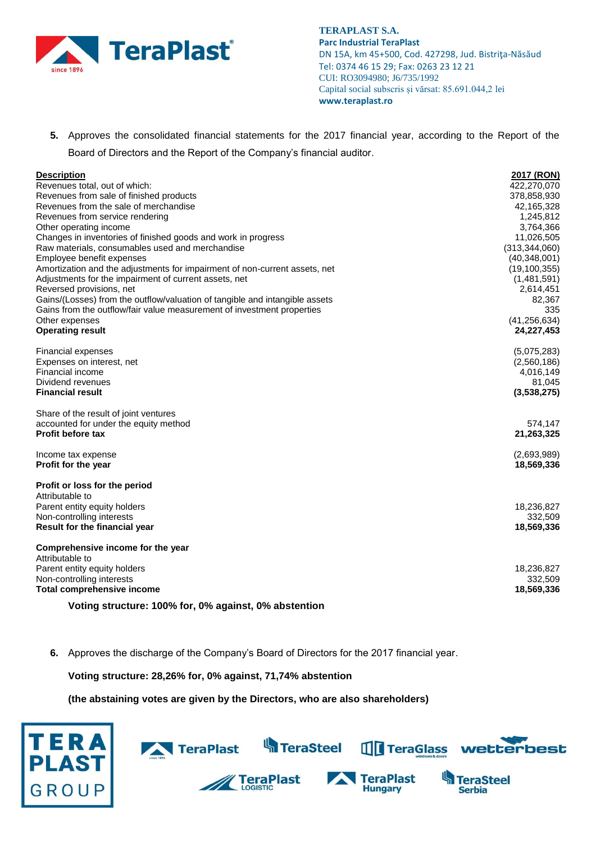

**5.** Approves the consolidated financial statements for the 2017 financial year, according to the Report of the Board of Directors and the Report of the Company's financial auditor.

| <b>Description</b>                                                          | 2017 (RON)      |
|-----------------------------------------------------------------------------|-----------------|
| Revenues total, out of which:                                               | 422,270,070     |
| Revenues from sale of finished products                                     | 378,858,930     |
| Revenues from the sale of merchandise                                       | 42,165,328      |
| Revenues from service rendering                                             | 1,245,812       |
| Other operating income                                                      | 3,764,366       |
| Changes in inventories of finished goods and work in progress               | 11,026,505      |
| Raw materials, consumables used and merchandise                             | (313, 344, 060) |
| Employee benefit expenses                                                   | (40, 348, 001)  |
| Amortization and the adjustments for impairment of non-current assets, net  | (19, 100, 355)  |
| Adjustments for the impairment of current assets, net                       | (1,481,591)     |
| Reversed provisions, net                                                    | 2,614,451       |
| Gains/(Losses) from the outflow/valuation of tangible and intangible assets | 82,367          |
| Gains from the outflow/fair value measurement of investment properties      | 335             |
| Other expenses                                                              | (41, 256, 634)  |
| <b>Operating result</b>                                                     | 24,227,453      |
| <b>Financial expenses</b>                                                   | (5,075,283)     |
| Expenses on interest, net                                                   | (2,560,186)     |
| Financial income                                                            | 4,016,149       |
| Dividend revenues                                                           | 81,045          |
| <b>Financial result</b>                                                     | (3,538,275)     |
| Share of the result of joint ventures                                       |                 |
| accounted for under the equity method                                       | 574,147         |
| <b>Profit before tax</b>                                                    | 21,263,325      |
| Income tax expense                                                          | (2,693,989)     |
| Profit for the year                                                         | 18,569,336      |
| Profit or loss for the period                                               |                 |
| Attributable to                                                             |                 |
| Parent entity equity holders                                                | 18,236,827      |
| Non-controlling interests                                                   | 332,509         |
| Result for the financial year                                               | 18,569,336      |
| Comprehensive income for the year                                           |                 |
| Attributable to                                                             |                 |
| Parent entity equity holders                                                | 18,236,827      |
| Non-controlling interests                                                   | 332,509         |
| <b>Total comprehensive income</b>                                           | 18,569,336      |
| Voting structure: 100% for, 0% against, 0% abstention                       |                 |

**6.** Approves the discharge of the Company's Board of Directors for the 2017 financial year.

**Voting structure: 28,26% for, 0% against, 71,74% abstention**

**(the abstaining votes are given by the Directors, who are also shareholders)**



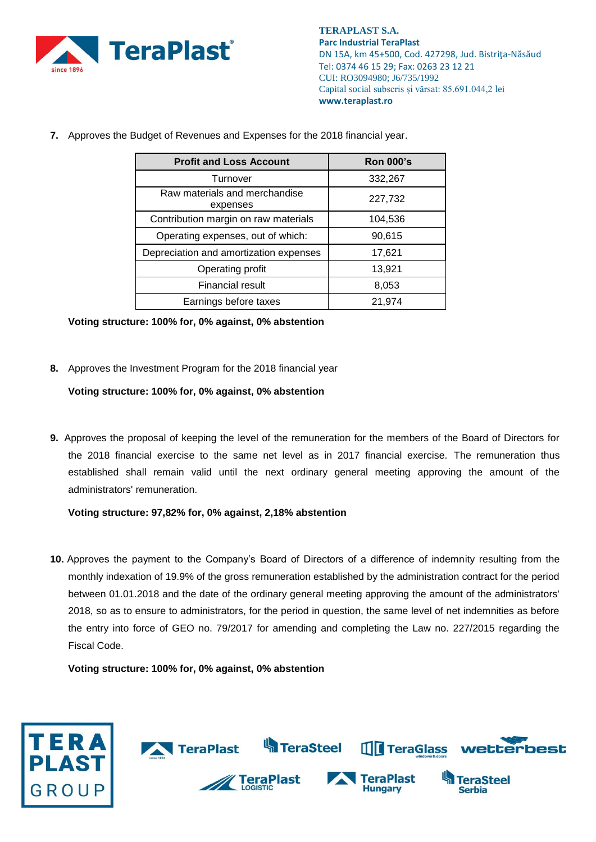

**7.** Approves the Budget of Revenues and Expenses for the 2018 financial year.

| <b>Profit and Loss Account</b>            | <b>Ron 000's</b> |
|-------------------------------------------|------------------|
| Turnover                                  | 332,267          |
| Raw materials and merchandise<br>expenses | 227,732          |
| Contribution margin on raw materials      | 104,536          |
| Operating expenses, out of which:         | 90,615           |
| Depreciation and amortization expenses    | 17,621           |
| Operating profit                          | 13,921           |
| <b>Financial result</b>                   | 8,053            |
| Earnings before taxes                     | 21,974           |

**Voting structure: 100% for, 0% against, 0% abstention**

**8.** Approves the Investment Program for the 2018 financial year

**Voting structure: 100% for, 0% against, 0% abstention**

**9.** Approves the proposal of keeping the level of the remuneration for the members of the Board of Directors for the 2018 financial exercise to the same net level as in 2017 financial exercise. The remuneration thus established shall remain valid until the next ordinary general meeting approving the amount of the administrators' remuneration.

**Voting structure: 97,82% for, 0% against, 2,18% abstention**

**10.** Approves the payment to the Company's Board of Directors of a difference of indemnity resulting from the monthly indexation of 19.9% of the gross remuneration established by the administration contract for the period between 01.01.2018 and the date of the ordinary general meeting approving the amount of the administrators' 2018, so as to ensure to administrators, for the period in question, the same level of net indemnities as before the entry into force of GEO no. 79/2017 for amending and completing the Law no. 227/2015 regarding the Fiscal Code.

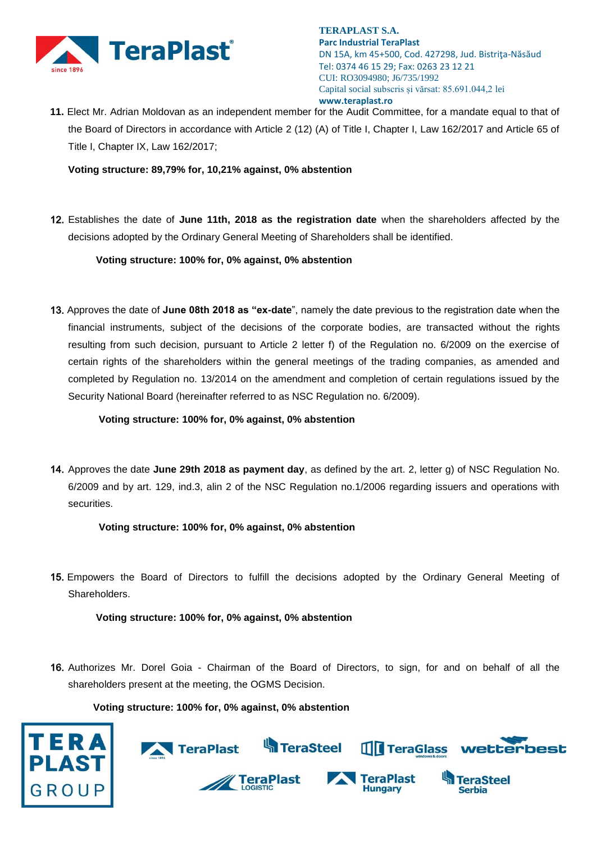

**11.** Elect Mr. Adrian Moldovan as an independent member for the Audit Committee, for a mandate equal to that of the Board of Directors in accordance with Article 2 (12) (A) of Title I, Chapter I, Law 162/2017 and Article 65 of Title I, Chapter IX, Law 162/2017;

**Voting structure: 89,79% for, 10,21% against, 0% abstention**

12. Establishes the date of **June 11th, 2018 as the registration date** when the shareholders affected by the decisions adopted by the Ordinary General Meeting of Shareholders shall be identified.

**Voting structure: 100% for, 0% against, 0% abstention**

13. Approves the date of **June 08th 2018 as "ex-date**", namely the date previous to the registration date when the financial instruments, subject of the decisions of the corporate bodies, are transacted without the rights resulting from such decision, pursuant to Article 2 letter f) of the Regulation no. 6/2009 on the exercise of certain rights of the shareholders within the general meetings of the trading companies, as amended and completed by Regulation no. 13/2014 on the amendment and completion of certain regulations issued by the Security National Board (hereinafter referred to as NSC Regulation no. 6/2009).

**Voting structure: 100% for, 0% against, 0% abstention**

14. Approves the date **June 29th 2018 as payment day**, as defined by the art. 2, letter g) of NSC Regulation No. 6/2009 and by art. 129, ind.3, alin 2 of the NSC Regulation no.1/2006 regarding issuers and operations with securities.

**Voting structure: 100% for, 0% against, 0% abstention**

15. Empowers the Board of Directors to fulfill the decisions adopted by the Ordinary General Meeting of Shareholders.

**Voting structure: 100% for, 0% against, 0% abstention**

16. Authorizes Mr. Dorel Goia - Chairman of the Board of Directors, to sign, for and on behalf of all the shareholders present at the meeting, the OGMS Decision.



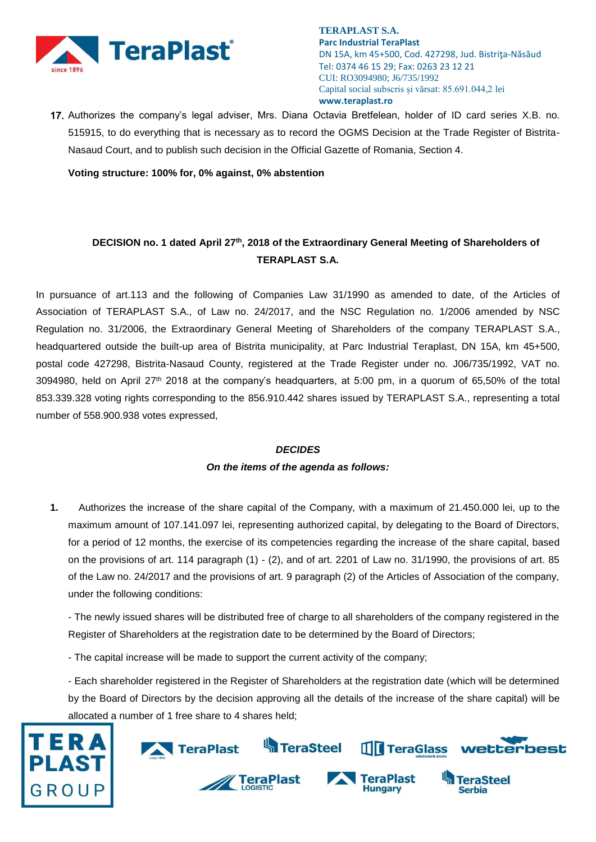

17. Authorizes the company's legal adviser, Mrs. Diana Octavia Bretfelean, holder of ID card series X.B. no. 515915, to do everything that is necessary as to record the OGMS Decision at the Trade Register of Bistrita-Nasaud Court, and to publish such decision in the Official Gazette of Romania, Section 4.

**Voting structure: 100% for, 0% against, 0% abstention**

## **DECISION no. 1 dated April 27th , 2018 of the Extraordinary General Meeting of Shareholders of TERAPLAST S.A.**

In pursuance of art.113 and the following of Companies Law 31/1990 as amended to date, of the Articles of Association of TERAPLAST S.A., of Law no. 24/2017, and the NSC Regulation no. 1/2006 amended by NSC Regulation no. 31/2006, the Extraordinary General Meeting of Shareholders of the company TERAPLAST S.A., headquartered outside the built-up area of Bistrita municipality, at Parc Industrial Teraplast, DN 15A, km 45+500, postal code 427298, Bistrita-Nasaud County, registered at the Trade Register under no. J06/735/1992, VAT no. 3094980, held on April 27th 2018 at the company's headquarters, at 5:00 pm, in a quorum of 65,50% of the total 853.339.328 voting rights corresponding to the 856.910.442 shares issued by TERAPLAST S.A., representing a total number of 558.900.938 votes expressed,

#### *DECIDES*

## *On the items of the agenda as follows:*

**1.** Authorizes the increase of the share capital of the Company, with a maximum of 21.450.000 lei, up to the maximum amount of 107.141.097 lei, representing authorized capital, by delegating to the Board of Directors, for a period of 12 months, the exercise of its competencies regarding the increase of the share capital, based on the provisions of art. 114 paragraph (1) - (2), and of art. 2201 of Law no. 31/1990, the provisions of art. 85 of the Law no. 24/2017 and the provisions of art. 9 paragraph (2) of the Articles of Association of the company, under the following conditions:

- The newly issued shares will be distributed free of charge to all shareholders of the company registered in the Register of Shareholders at the registration date to be determined by the Board of Directors;

- The capital increase will be made to support the current activity of the company;

- Each shareholder registered in the Register of Shareholders at the registration date (which will be determined by the Board of Directors by the decision approving all the details of the increase of the share capital) will be allocated a number of 1 free share to 4 shares held;



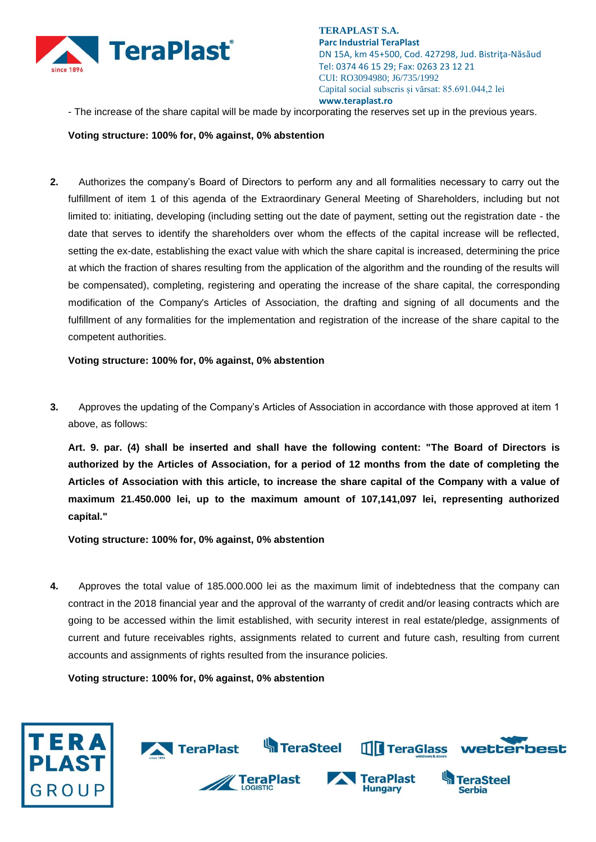

- The increase of the share capital will be made by incorporating the reserves set up in the previous years.

### **Voting structure: 100% for, 0% against, 0% abstention**

**2.** Authorizes the company's Board of Directors to perform any and all formalities necessary to carry out the fulfillment of item 1 of this agenda of the Extraordinary General Meeting of Shareholders, including but not limited to: initiating, developing (including setting out the date of payment, setting out the registration date - the date that serves to identify the shareholders over whom the effects of the capital increase will be reflected, setting the ex-date, establishing the exact value with which the share capital is increased, determining the price at which the fraction of shares resulting from the application of the algorithm and the rounding of the results will be compensated), completing, registering and operating the increase of the share capital, the corresponding modification of the Company's Articles of Association, the drafting and signing of all documents and the fulfillment of any formalities for the implementation and registration of the increase of the share capital to the competent authorities.

**Voting structure: 100% for, 0% against, 0% abstention**

**3.** Approves the updating of the Company's Articles of Association in accordance with those approved at item 1 above, as follows:

**Art. 9. par. (4) shall be inserted and shall have the following content: "The Board of Directors is authorized by the Articles of Association, for a period of 12 months from the date of completing the Articles of Association with this article, to increase the share capital of the Company with a value of maximum 21.450.000 lei, up to the maximum amount of 107,141,097 lei, representing authorized capital."**

**Voting structure: 100% for, 0% against, 0% abstention**

**4.** Approves the total value of 185.000.000 lei as the maximum limit of indebtedness that the company can contract in the 2018 financial year and the approval of the warranty of credit and/or leasing contracts which are going to be accessed within the limit established, with security interest in real estate/pledge, assignments of current and future receivables rights, assignments related to current and future cash, resulting from current accounts and assignments of rights resulted from the insurance policies.

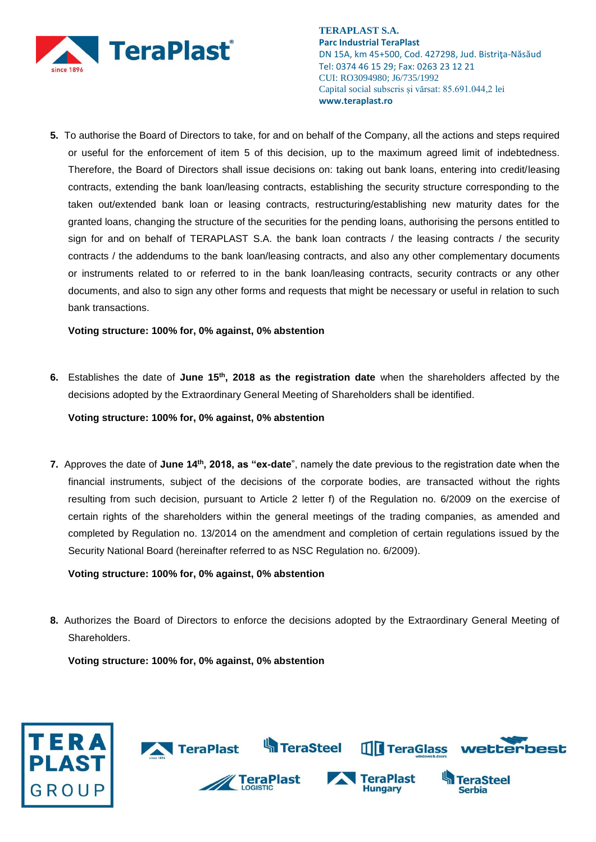

**5.** To authorise the Board of Directors to take, for and on behalf of the Company, all the actions and steps required or useful for the enforcement of item 5 of this decision, up to the maximum agreed limit of indebtedness. Therefore, the Board of Directors shall issue decisions on: taking out bank loans, entering into credit/leasing contracts, extending the bank loan/leasing contracts, establishing the security structure corresponding to the taken out/extended bank loan or leasing contracts, restructuring/establishing new maturity dates for the granted loans, changing the structure of the securities for the pending loans, authorising the persons entitled to sign for and on behalf of TERAPLAST S.A. the bank loan contracts / the leasing contracts / the security contracts / the addendums to the bank loan/leasing contracts, and also any other complementary documents or instruments related to or referred to in the bank loan/leasing contracts, security contracts or any other documents, and also to sign any other forms and requests that might be necessary or useful in relation to such bank transactions.

**Voting structure: 100% for, 0% against, 0% abstention**

**6.** Establishes the date of **June 15th, 2018 as the registration date** when the shareholders affected by the decisions adopted by the Extraordinary General Meeting of Shareholders shall be identified.

**Voting structure: 100% for, 0% against, 0% abstention**

**7.** Approves the date of **June 14th, 2018, as "ex-date**", namely the date previous to the registration date when the financial instruments, subject of the decisions of the corporate bodies, are transacted without the rights resulting from such decision, pursuant to Article 2 letter f) of the Regulation no. 6/2009 on the exercise of certain rights of the shareholders within the general meetings of the trading companies, as amended and completed by Regulation no. 13/2014 on the amendment and completion of certain regulations issued by the Security National Board (hereinafter referred to as NSC Regulation no. 6/2009).

**Voting structure: 100% for, 0% against, 0% abstention**

**8.** Authorizes the Board of Directors to enforce the decisions adopted by the Extraordinary General Meeting of Shareholders.